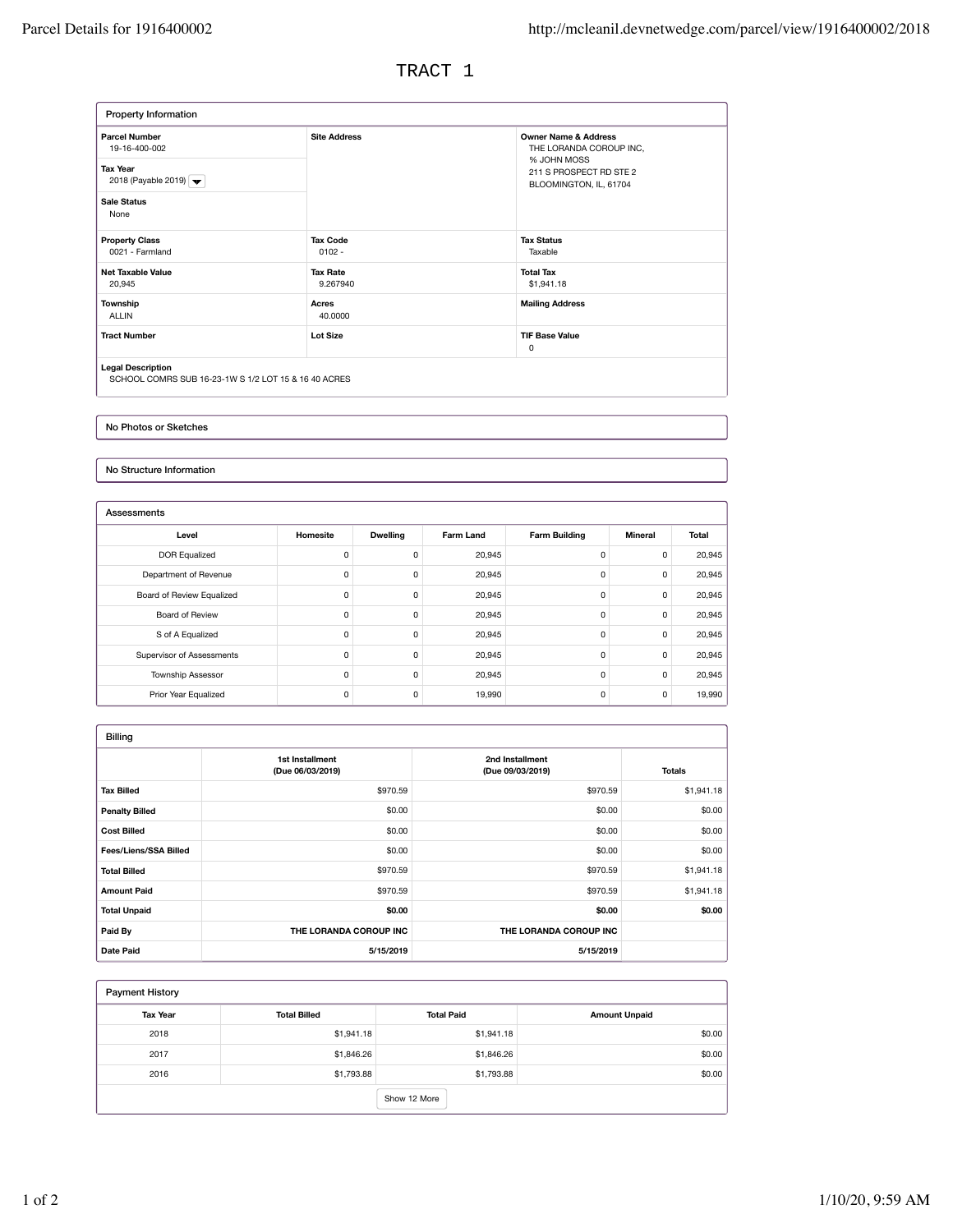TRACT 1

| Property Information                                                                                                                |                             |                                                                                                                                |
|-------------------------------------------------------------------------------------------------------------------------------------|-----------------------------|--------------------------------------------------------------------------------------------------------------------------------|
| <b>Parcel Number</b><br>19-16-400-002<br><b>Tax Year</b><br>2018 (Payable 2019) $\blacktriangleright$<br><b>Sale Status</b><br>None | <b>Site Address</b>         | <b>Owner Name &amp; Address</b><br>THE LORANDA COROUP INC,<br>% JOHN MOSS<br>211 S PROSPECT RD STE 2<br>BLOOMINGTON, IL, 61704 |
| <b>Property Class</b><br>0021 - Farmland                                                                                            | <b>Tax Code</b><br>$0102 -$ | <b>Tax Status</b><br>Taxable                                                                                                   |
| <b>Net Taxable Value</b><br>20,945                                                                                                  | <b>Tax Rate</b><br>9.267940 | <b>Total Tax</b><br>\$1,941.18                                                                                                 |
| Township<br><b>ALLIN</b>                                                                                                            | Acres<br>40,0000            | <b>Mailing Address</b>                                                                                                         |
| <b>Tract Number</b>                                                                                                                 | Lot Size                    | <b>TIF Base Value</b><br>$\Omega$                                                                                              |

No Photos or Sketches

No Structure Information

| Assessments               |          |                 |                  |                      |         |        |
|---------------------------|----------|-----------------|------------------|----------------------|---------|--------|
| Level                     | Homesite | <b>Dwelling</b> | <b>Farm Land</b> | <b>Farm Building</b> | Mineral | Total  |
| <b>DOR Equalized</b>      | 0        | 0               | 20,945           | 0                    | 0       | 20,945 |
| Department of Revenue     | 0        | 0               | 20,945           | 0                    | 0       | 20,945 |
| Board of Review Equalized | 0        | 0               | 20,945           | 0                    | 0       | 20,945 |
| Board of Review           | 0        | 0               | 20,945           | 0                    | 0       | 20,945 |
| S of A Equalized          | 0        | 0               | 20,945           | 0                    | 0       | 20,945 |
| Supervisor of Assessments | 0        | 0               | 20,945           | 0                    | 0       | 20,945 |
| Township Assessor         | 0        | 0               | 20,945           | 0                    | 0       | 20,945 |
| Prior Year Equalized      | 0        | 0               | 19,990           | 0                    | 0       | 19,990 |

| <b>Billing</b>               |                                     |                                     |               |
|------------------------------|-------------------------------------|-------------------------------------|---------------|
|                              | 1st Installment<br>(Due 06/03/2019) | 2nd Installment<br>(Due 09/03/2019) | <b>Totals</b> |
| <b>Tax Billed</b>            | \$970.59                            | \$970.59                            | \$1,941.18    |
| <b>Penalty Billed</b>        | \$0.00                              | \$0.00                              | \$0.00        |
| <b>Cost Billed</b>           | \$0.00                              | \$0.00                              | \$0.00        |
| <b>Fees/Liens/SSA Billed</b> | \$0.00                              | \$0.00                              | \$0.00        |
| <b>Total Billed</b>          | \$970.59                            | \$970.59                            | \$1,941.18    |
| <b>Amount Paid</b>           | \$970.59                            | \$970.59                            | \$1,941.18    |
| <b>Total Unpaid</b>          | \$0.00                              | \$0.00                              | \$0.00        |
| Paid By                      | THE LORANDA COROUP INC              | THE LORANDA COROUP INC              |               |
| <b>Date Paid</b>             | 5/15/2019                           | 5/15/2019                           |               |

| <b>Payment History</b> |                     |                   |                      |  |  |
|------------------------|---------------------|-------------------|----------------------|--|--|
| <b>Tax Year</b>        | <b>Total Billed</b> | <b>Total Paid</b> | <b>Amount Unpaid</b> |  |  |
| 2018                   | \$1,941.18          | \$1,941.18        | \$0.00               |  |  |
| 2017                   | \$1,846.26          | \$1,846.26        | \$0.00               |  |  |
| 2016                   | \$1,793.88          | \$1,793.88        | \$0.00               |  |  |
|                        | Show 12 More        |                   |                      |  |  |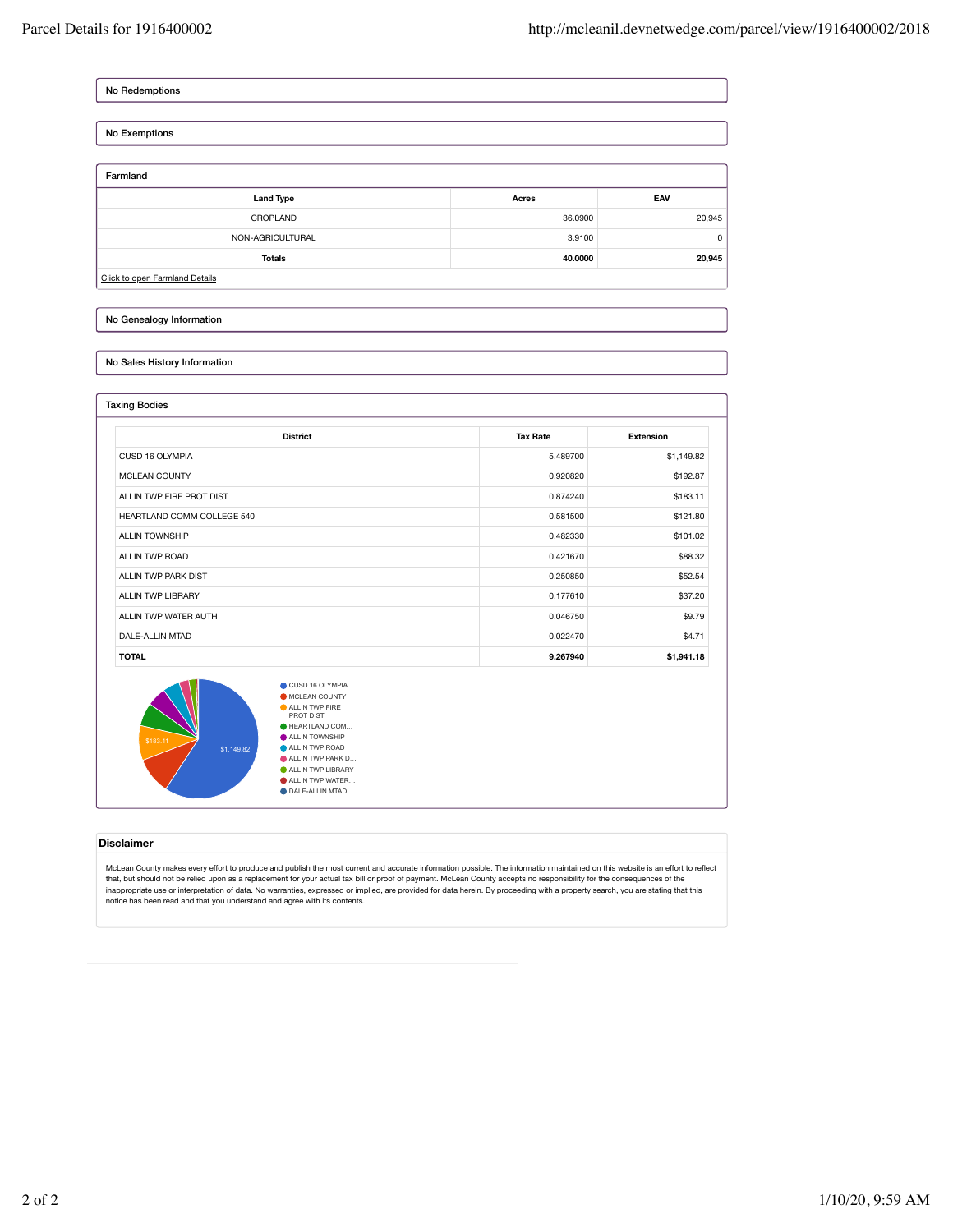No Redemptions

| No Exemptions                  |         |        |
|--------------------------------|---------|--------|
|                                |         |        |
| Farmland                       |         |        |
| <b>Land Type</b>               | Acres   | EAV    |
| CROPLAND                       | 36.0900 | 20,945 |
| NON-AGRICULTURAL               | 3.9100  | 0      |
| <b>Totals</b>                  | 40.0000 | 20,945 |
| Click to open Farmland Details |         |        |

### No Genealogy Information

## No Sales History Information

| <b>District</b>            | <b>Tax Rate</b> | <b>Extension</b> |
|----------------------------|-----------------|------------------|
| CUSD 16 OLYMPIA            | 5.489700        | \$1,149.82       |
| <b>MCLEAN COUNTY</b>       | 0.920820        | \$192.87         |
| ALLIN TWP FIRE PROT DIST   | 0.874240        | \$183.11         |
| HEARTLAND COMM COLLEGE 540 | 0.581500        | \$121.80         |
| <b>ALLIN TOWNSHIP</b>      | 0.482330        | \$101.02         |
| ALLIN TWP ROAD             | 0.421670        | \$88.32          |
| ALLIN TWP PARK DIST        | 0.250850        | \$52.54          |
| <b>ALLIN TWP LIBRARY</b>   | 0.177610        | \$37.20          |
| ALLIN TWP WATER AUTH       | 0.046750        | \$9.79           |
| DALE-ALLIN MTAD            | 0.022470        | \$4.71           |
| <b>TOTAL</b>               | 9.267940        | \$1,941.18       |

HEARTLAND COM… ALLIN TOWNSHIP ALLIN TWP ROAD ALLIN TWP PARK D… ALLIN TWP LIBRARY ALLIN TWP WATER… DALE-ALLIN MTAD \$1,149.82

#### **Disclaimer**

McLean County makes every effort to produce and publish the most current and accurate information possible. The information maintained on this website is an effort to reflect that, but should not be relied upon as a replacement for your actual tax bill or proof of payment. McLean County accepts no responsibility for the consequences of the<br>inappropriate use or interpretation of data. No warrant notice has been read and that you understand and agree with its contents.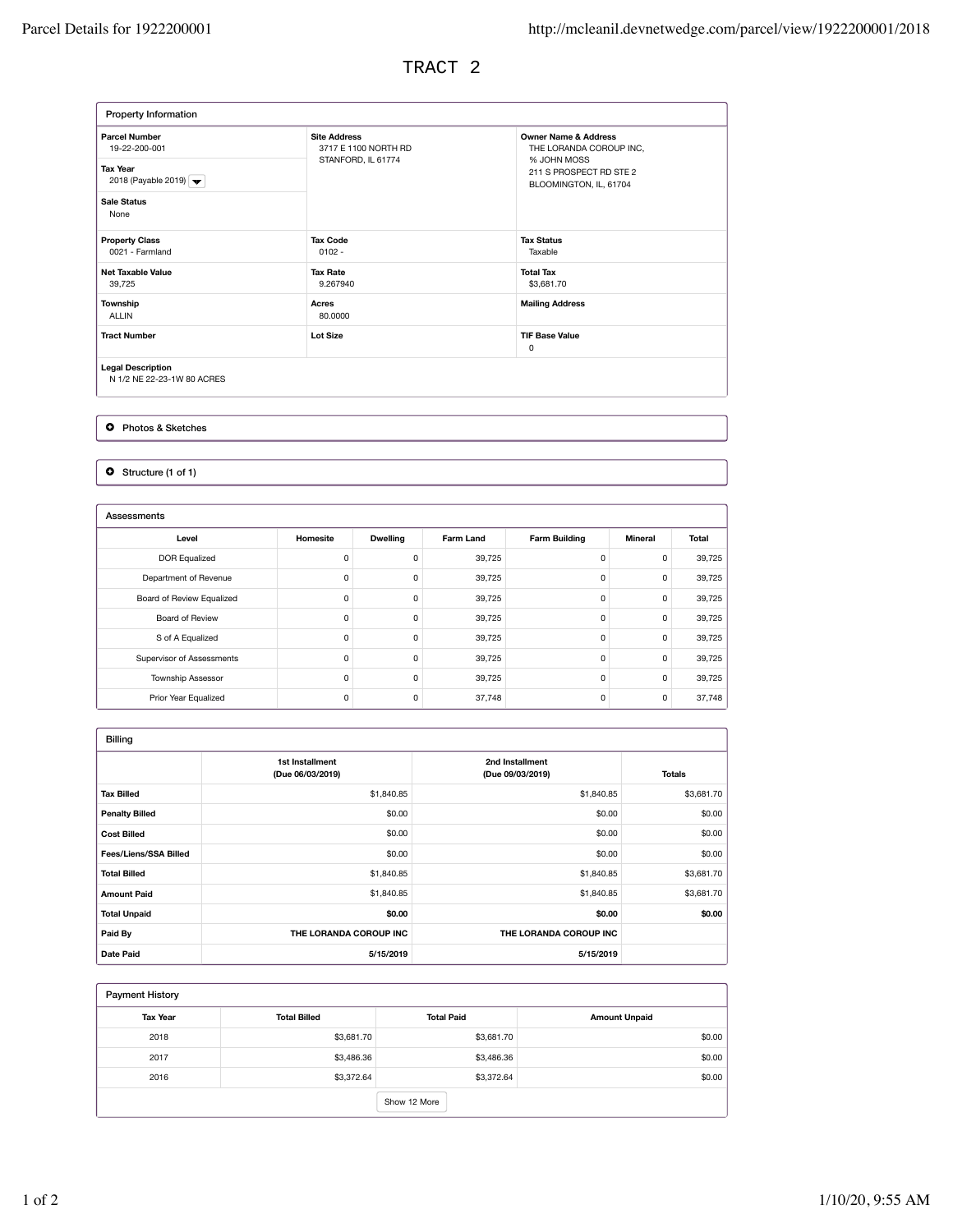TRACT 2

| Property Information                                                                                                                |                                                                   |                                                                                                                                |
|-------------------------------------------------------------------------------------------------------------------------------------|-------------------------------------------------------------------|--------------------------------------------------------------------------------------------------------------------------------|
| <b>Parcel Number</b><br>19-22-200-001<br><b>Tax Year</b><br>2018 (Payable 2019) $\blacktriangleright$<br><b>Sale Status</b><br>None | <b>Site Address</b><br>3717 E 1100 NORTH RD<br>STANFORD, IL 61774 | <b>Owner Name &amp; Address</b><br>THE LORANDA COROUP INC,<br>% JOHN MOSS<br>211 S PROSPECT RD STE 2<br>BLOOMINGTON, IL, 61704 |
| <b>Property Class</b><br>0021 - Farmland                                                                                            | <b>Tax Code</b><br>$0102 -$                                       | <b>Tax Status</b><br>Taxable                                                                                                   |
| <b>Net Taxable Value</b><br>39,725                                                                                                  | <b>Tax Rate</b><br>9.267940                                       | <b>Total Tax</b><br>\$3,681.70                                                                                                 |
| Township<br><b>ALLIN</b>                                                                                                            | Acres<br>80,0000                                                  | <b>Mailing Address</b>                                                                                                         |
| <b>Tract Number</b>                                                                                                                 | <b>Lot Size</b>                                                   | <b>TIF Base Value</b><br>0                                                                                                     |
| <b>Legal Description</b><br>N 1/2 NE 22-23-1W 80 ACRES                                                                              |                                                                   |                                                                                                                                |

**O** Photos & Sketches

O Structure (1 of 1)

| Assessments               |          |                 |                  |                      |                |        |
|---------------------------|----------|-----------------|------------------|----------------------|----------------|--------|
| Level                     | Homesite | <b>Dwelling</b> | <b>Farm Land</b> | <b>Farm Building</b> | <b>Mineral</b> | Total  |
| <b>DOR Equalized</b>      | 0        | $\Omega$        | 39,725           | 0                    | 0              | 39,725 |
| Department of Revenue     | 0        | 0               | 39,725           | 0                    | 0              | 39,725 |
| Board of Review Equalized | 0        | 0               | 39,725           | 0                    | 0              | 39,725 |
| Board of Review           | 0        | 0               | 39,725           | 0                    | 0              | 39,725 |
| S of A Equalized          | 0        | 0               | 39,725           | 0                    | 0              | 39,725 |
| Supervisor of Assessments | 0        | 0               | 39,725           | 0                    | 0              | 39,725 |
| <b>Township Assessor</b>  | 0        | 0               | 39,725           | 0                    | 0              | 39,725 |
| Prior Year Equalized      | 0        | 0               | 37,748           | 0                    | 0              | 37,748 |

| <b>Billing</b>        |                                     |                                     |               |
|-----------------------|-------------------------------------|-------------------------------------|---------------|
|                       | 1st Installment<br>(Due 06/03/2019) | 2nd Installment<br>(Due 09/03/2019) | <b>Totals</b> |
| <b>Tax Billed</b>     | \$1,840.85                          | \$1,840.85                          | \$3,681.70    |
| <b>Penalty Billed</b> | \$0.00                              | \$0.00                              | \$0.00        |
| <b>Cost Billed</b>    | \$0.00                              | \$0.00                              | \$0.00        |
| Fees/Liens/SSA Billed | \$0.00                              | \$0.00                              | \$0.00        |
| <b>Total Billed</b>   | \$1,840.85                          | \$1,840.85                          | \$3,681.70    |
| <b>Amount Paid</b>    | \$1,840.85                          | \$1,840.85                          | \$3,681.70    |
| <b>Total Unpaid</b>   | \$0.00                              | \$0.00                              | \$0.00        |
| Paid By               | THE LORANDA COROUP INC              | THE LORANDA COROUP INC              |               |
| <b>Date Paid</b>      | 5/15/2019                           | 5/15/2019                           |               |

| <b>Payment History</b> |                     |                   |                      |  |
|------------------------|---------------------|-------------------|----------------------|--|
| <b>Tax Year</b>        | <b>Total Billed</b> | <b>Total Paid</b> | <b>Amount Unpaid</b> |  |
| 2018                   | \$3,681.70          | \$3,681.70        | \$0.00               |  |
| 2017                   | \$3,486.36          | \$3,486.36        | \$0.00               |  |
| 2016                   | \$3,372.64          | \$3,372.64        | \$0.00               |  |
|                        |                     | Show 12 More      |                      |  |